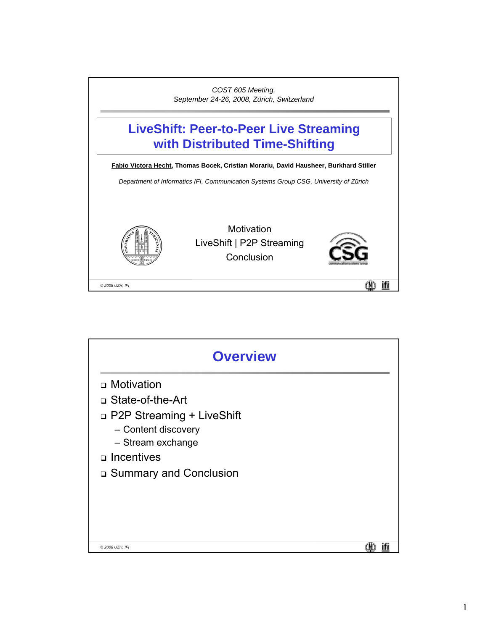

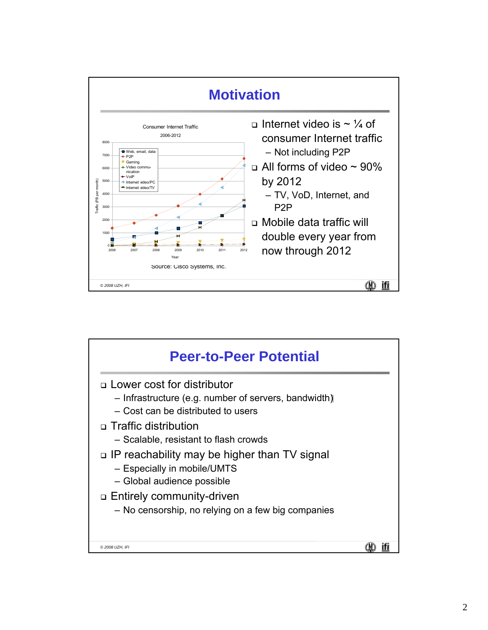

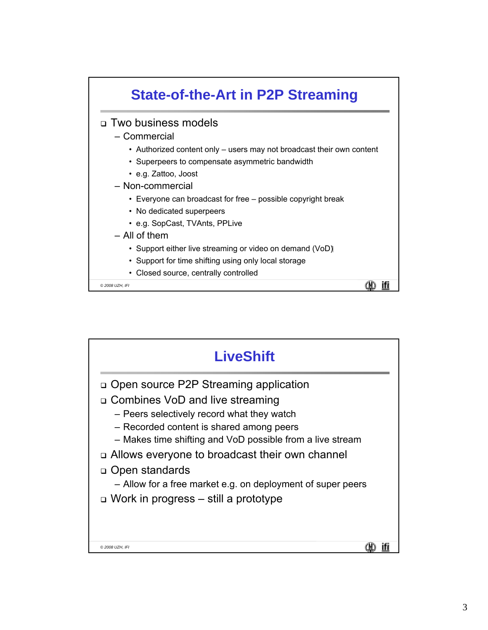

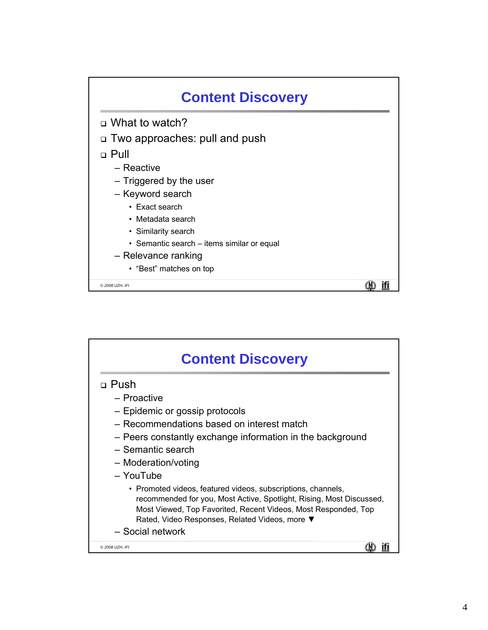

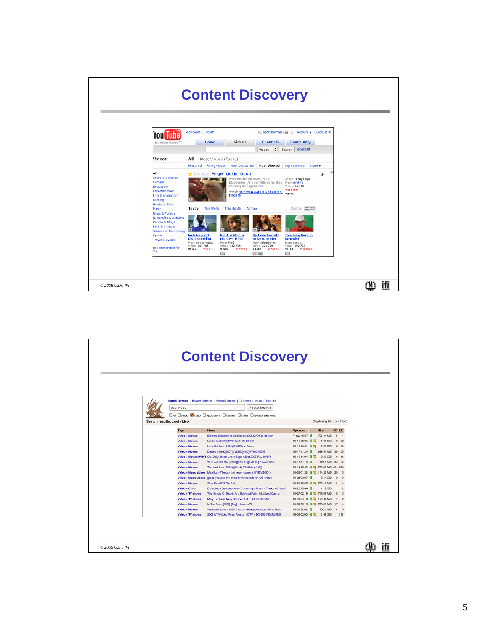

|                            | cool video                                 | Search Torrents   Browse Torrents   Recent Torrents   TV shows   Music   Top 100<br>Pirate Search                       |                                                   |                           |                |                          |
|----------------------------|--------------------------------------------|-------------------------------------------------------------------------------------------------------------------------|---------------------------------------------------|---------------------------|----------------|--------------------------|
|                            |                                            |                                                                                                                         |                                                   |                           |                |                          |
| Search results; cool video |                                            | All <b>Baudo</b> Video <b>Bapications</b> Boarres <b>Bother</b> B (search titles only)                                  |                                                   | Displaying hits from 1 to |                |                          |
|                            |                                            |                                                                                                                         |                                                   |                           |                |                          |
|                            | Type                                       | Name                                                                                                                    | <b>Uploaded</b>                                   | Size                      | SE LE          |                          |
|                            | Video > Movies                             | Bioldord.Shmecklers.Cool.Ideas.2006.DVDRip-Morsan                                                                       | Y-day 19:07 零                                     | 705.84 MB                 | 5              | $\overline{a}$           |
|                            | <b>Video &gt; Movies</b>                   | Life.ls.Cool[2008]DVDRip[XviD]-BiFOS                                                                                    | 09-13 22:25 享 口                                   | 1.38 GiB                  | $\Omega$       | $\overline{\mathcal{D}}$ |
|                            | Video » Movies                             | Let's Get Lost (1988) DVDRip + Extras                                                                                   | 09-15 16:31 享见                                    | 2.25 GiB                  |                | $3 - 10$                 |
|                            | Video > Movies                             | Dantes Inferno(2007)DVDRip(XviD)-FRAGMENT                                                                               | 09-17 11:24 8                                     | 699.34 MB                 | 39             | 35                       |
|                            |                                            | Video > Movies DVDR Our.Daily.Bread-Unser.Taglich.Brot.2005.PAL-DVDR                                                    | 09-16 11:04 享受                                    | 3.83 GiB                  | 6              | 16                       |
|                            | <b>Video &gt; Movies</b><br>Video » Movies | THE LADIES MAN(2000)[AC3 5.1] [DVDRig]-FLAWL3SS                                                                         | 09-1501:15 享<br>09-14 15:49   700.03 MB   264 686 | 970.5 MB                  | 26             | 42                       |
|                            |                                            | The Last Lear (2008) [(Hindi) PDVDrip (XviD)]<br>Video » Music videos Metallica - The day that never comes (LIVE VIDEO) |                                                   |                           |                | $\overline{\mathbf{3}}$  |
|                            |                                            | Video > Music videos gregory isaacs live at the brixton academy 1984 video                                              | 08-2403:07 3                                      | $3.14$ GiB                | $\circ$        | $\ddot{\rm{o}}$          |
|                            | Video > Movies                             | Slow Burn DVDRip DivX                                                                                                   | 08-21 22:05 享 Q 700.19 MB                         |                           | R              |                          |
|                            | Video > Other                              | Die schoen Bahnstrecken - Drivers-eye Trains - France 021taly 0                                                         | 08-22 15:44 客                                     | $1.12$ GiB                | л.             | $\circ$                  |
|                            | Video > TV shows                           | The History Of Beavis And Butthead Parts 1 & 2 ipod Classic                                                             |                                                   |                           | $\overline{5}$ | $\overline{\mathbf{3}}$  |
|                            | $V$ ideo > TV shows                        | Mary Hartman, Mary Hartman 1x11 PLUS EXTRAS                                                                             | 09-06 04:13 HS Q 179.48 MB                        |                           | $\tau$         | $\overline{2}$           |
|                            | Video > Movies                             | In Too Deep [1999] [Eng] -Hammer71                                                                                      | 08-30 05:13 享 700.03 MB                           |                           | 17             | $\overline{4}$           |
|                            | <b>Video &gt; Movies</b>                   | Women In Love - 1989 Drama - Glenda Jackson, Oliver Reed                                                                | 09-09 22:02 客                                     | 700.6 MB                  | 8              | R                        |
|                            | Video > TV shows                           | 2008 MTV Video Music Awards HDTV + BONUS FEATURES                                                                       | 09-09 02:00 号号                                    | $1.49$ GiB                |                | 1 178                    |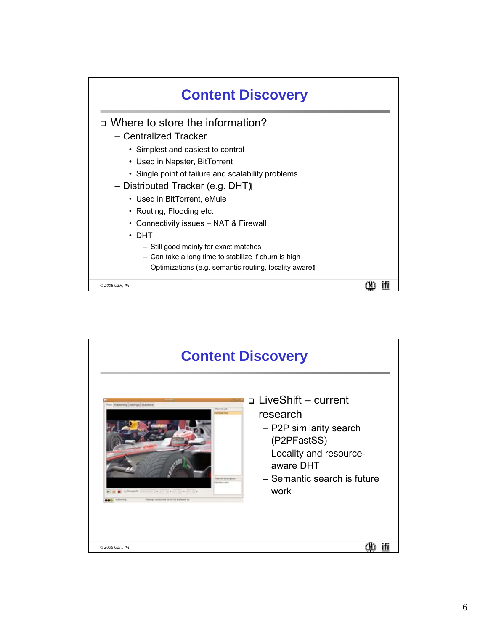

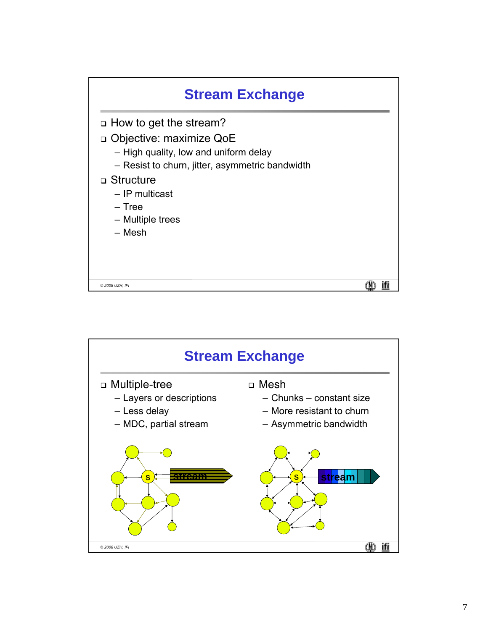| <b>Stream Exchange</b>                                                                                                                                                                                                          |  |
|---------------------------------------------------------------------------------------------------------------------------------------------------------------------------------------------------------------------------------|--|
| $\Box$ How to get the stream?<br>□ Objective: maximize QoE<br>- High quality, low and uniform delay<br>- Resist to churn, jitter, asymmetric bandwidth<br>□ Structure<br>– IP multicast<br>– Tree<br>- Multiple trees<br>– Mesh |  |
| © 2008 UZH, IFI                                                                                                                                                                                                                 |  |

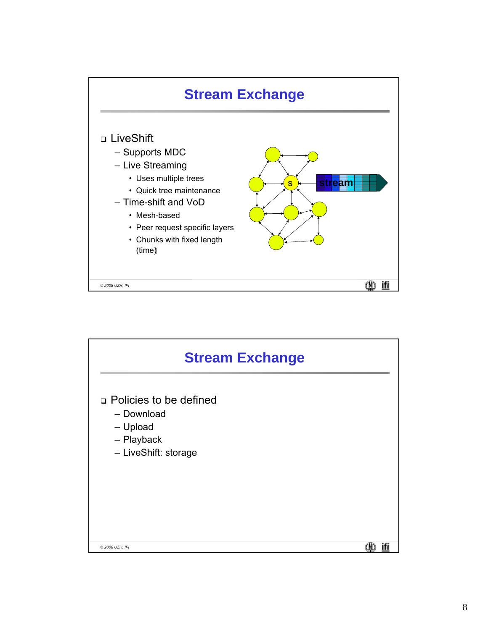

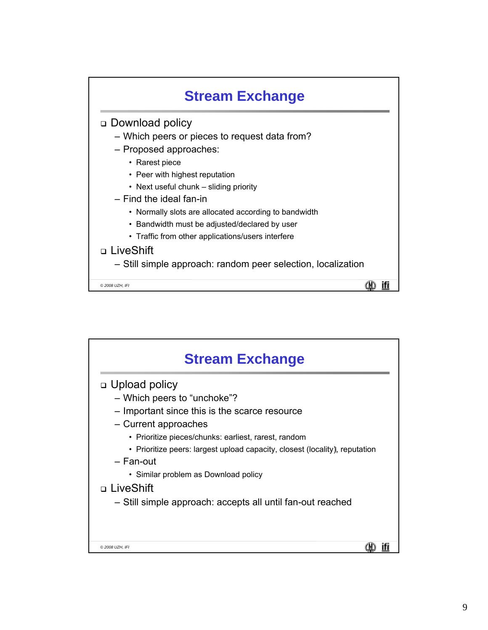

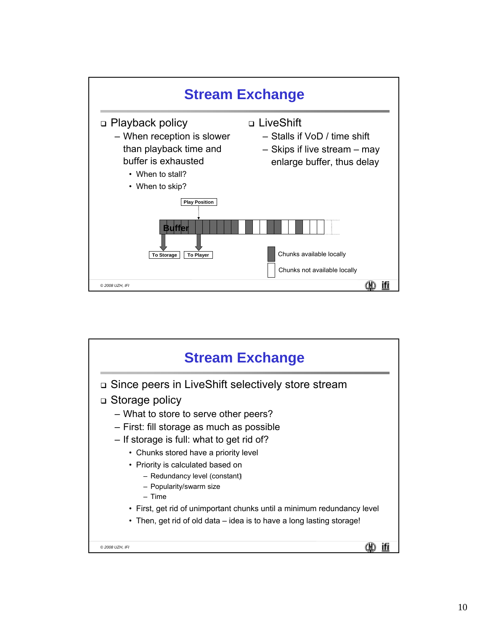

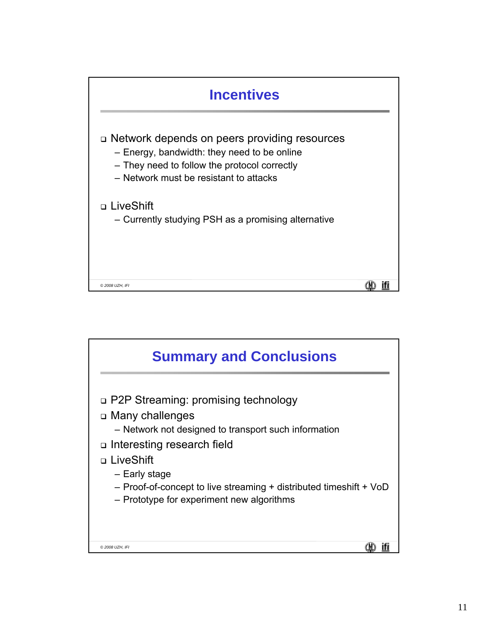